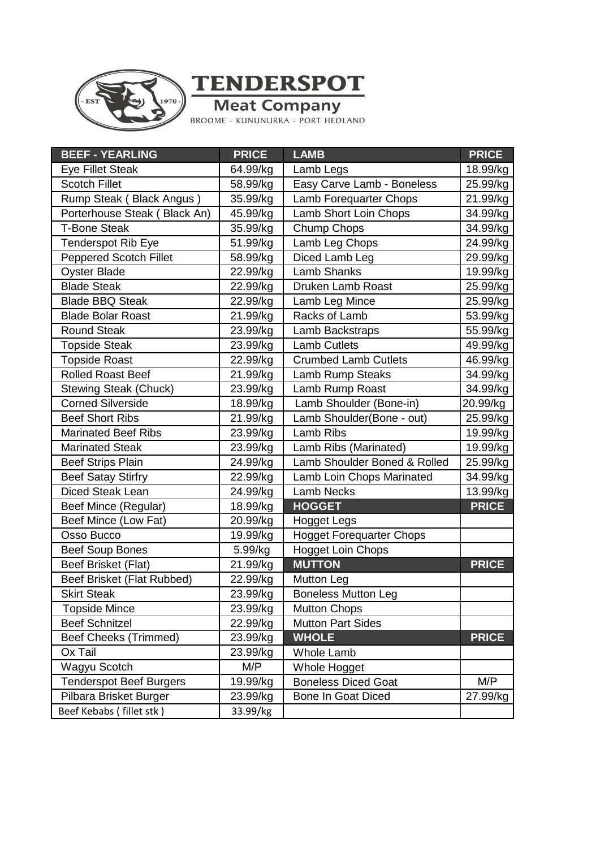

**TENDERSPOT** 

**Meat Company**<br>BROOME - KUNUNURRA - PORT HEDLAND

| <b>BEEF - YEARLING</b>         | <b>PRICE</b> | <b>LAMB</b>                     | <b>PRICE</b> |
|--------------------------------|--------------|---------------------------------|--------------|
| <b>Eye Fillet Steak</b>        | 64.99/kg     | Lamb Legs                       | 18.99/kg     |
| <b>Scotch Fillet</b>           | 58.99/kg     | Easy Carve Lamb - Boneless      | 25.99/kg     |
| Rump Steak (Black Angus)       | 35.99/kg     | Lamb Forequarter Chops          | 21.99/kg     |
| Porterhouse Steak (Black An)   | 45.99/kg     | Lamb Short Loin Chops           | 34.99/kg     |
| <b>T-Bone Steak</b>            | 35.99/kg     | Chump Chops                     | 34.99/kg     |
| <b>Tenderspot Rib Eye</b>      | 51.99/kg     | Lamb Leg Chops                  | 24.99/kg     |
| <b>Peppered Scotch Fillet</b>  | 58.99/kg     | Diced Lamb Leg                  | 29.99/kg     |
| <b>Oyster Blade</b>            | 22.99/kg     | <b>Lamb Shanks</b>              | 19.99/kg     |
| <b>Blade Steak</b>             | 22.99/kg     | Druken Lamb Roast               | 25.99/kg     |
| <b>Blade BBQ Steak</b>         | 22.99/kg     | Lamb Leg Mince                  | 25.99/kg     |
| <b>Blade Bolar Roast</b>       | 21.99/kg     | Racks of Lamb                   | 53.99/kg     |
| <b>Round Steak</b>             | 23.99/kg     | Lamb Backstraps                 | 55.99/kg     |
| <b>Topside Steak</b>           | 23.99/kg     | <b>Lamb Cutlets</b>             | 49.99/kg     |
| <b>Topside Roast</b>           | 22.99/kg     | <b>Crumbed Lamb Cutlets</b>     | 46.99/kg     |
| <b>Rolled Roast Beef</b>       | 21.99/kg     | Lamb Rump Steaks                | 34.99/kg     |
| <b>Stewing Steak (Chuck)</b>   | 23.99/kg     | Lamb Rump Roast                 | 34.99/kg     |
| <b>Corned Silverside</b>       | 18.99/kg     | Lamb Shoulder (Bone-in)         | 20.99/kg     |
| <b>Beef Short Ribs</b>         | 21.99/kg     | Lamb Shoulder(Bone - out)       | 25.99/kg     |
| <b>Marinated Beef Ribs</b>     | 23.99/kg     | Lamb Ribs                       | 19.99/kg     |
| <b>Marinated Steak</b>         | 23.99/kg     | Lamb Ribs (Marinated)           | 19.99/kg     |
| <b>Beef Strips Plain</b>       | 24.99/kg     | Lamb Shoulder Boned & Rolled    | 25.99/kg     |
| <b>Beef Satay Stirfry</b>      | 22.99/kg     | Lamb Loin Chops Marinated       | 34.99/kg     |
| Diced Steak Lean               | 24.99/kg     | <b>Lamb Necks</b>               | 13.99/kg     |
| Beef Mince (Regular)           | 18.99/kg     | <b>HOGGET</b>                   | <b>PRICE</b> |
| Beef Mince (Low Fat)           | 20.99/kg     | <b>Hogget Legs</b>              |              |
| Osso Bucco                     | 19.99/kg     | <b>Hogget Forequarter Chops</b> |              |
| <b>Beef Soup Bones</b>         | 5.99/kg      | <b>Hogget Loin Chops</b>        |              |
| Beef Brisket (Flat)            | 21.99/kg     | <b>MUTTON</b>                   | <b>PRICE</b> |
| Beef Brisket (Flat Rubbed)     | 22.99/kg     | Mutton Leg                      |              |
| <b>Skirt Steak</b>             | 23.99/kg     | <b>Boneless Mutton Leg</b>      |              |
| <b>Topside Mince</b>           | 23.99/kg     | <b>Mutton Chops</b>             |              |
| <b>Beef Schnitzel</b>          | 22.99/kg     | <b>Mutton Part Sides</b>        |              |
| <b>Beef Cheeks (Trimmed)</b>   | 23.99/kg     | <b>WHOLE</b>                    | <b>PRICE</b> |
| Ox Tail                        | 23.99/kg     | <b>Whole Lamb</b>               |              |
| Wagyu Scotch                   | M/P          | Whole Hogget                    |              |
| <b>Tenderspot Beef Burgers</b> | 19.99/kg     | <b>Boneless Diced Goat</b>      | M/P          |
| Pilbara Brisket Burger         | 23.99/kg     | Bone In Goat Diced              | 27.99/kg     |
| Beef Kebabs (fillet stk)       | 33.99/kg     |                                 |              |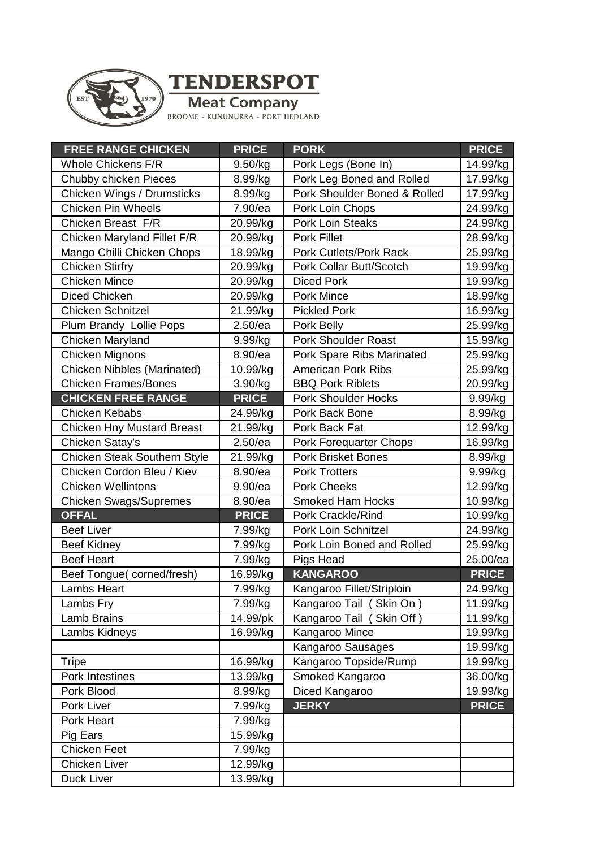

**TENDERSPOT** 

**Meat Company**<br>BROOME - KUNUNURRA - PORT HEDLAND

| <b>FREE RANGE CHICKEN</b>         | <b>PRICE</b> | <b>PORK</b>                   | <b>PRICE</b> |
|-----------------------------------|--------------|-------------------------------|--------------|
| <b>Whole Chickens F/R</b>         | 9.50/kg      | Pork Legs (Bone In)           | 14.99/kg     |
| Chubby chicken Pieces             | 8.99/kg      | Pork Leg Boned and Rolled     | 17.99/kg     |
| Chicken Wings / Drumsticks        | 8.99/kg      | Pork Shoulder Boned & Rolled  | 17.99/kg     |
| <b>Chicken Pin Wheels</b>         | 7.90/ea      | Pork Loin Chops               | 24.99/kg     |
| Chicken Breast F/R                | 20.99/kg     | <b>Pork Loin Steaks</b>       | 24.99/kg     |
| Chicken Maryland Fillet F/R       | 20.99/kg     | <b>Pork Fillet</b>            | 28.99/kg     |
| Mango Chilli Chicken Chops        | 18.99/kg     | <b>Pork Cutlets/Pork Rack</b> | 25.99/kg     |
| <b>Chicken Stirfry</b>            | 20.99/kg     | Pork Collar Butt/Scotch       | 19.99/kg     |
| <b>Chicken Mince</b>              | 20.99/kg     | <b>Diced Pork</b>             | 19.99/kg     |
| <b>Diced Chicken</b>              | 20.99/kg     | <b>Pork Mince</b>             | 18.99/kg     |
| <b>Chicken Schnitzel</b>          | 21.99/kg     | <b>Pickled Pork</b>           | 16.99/kg     |
| Plum Brandy Lollie Pops           | $2.50$ /ea   | Pork Belly                    | 25.99/kg     |
| Chicken Maryland                  | 9.99/kg      | <b>Pork Shoulder Roast</b>    | 15.99/kg     |
| Chicken Mignons                   | 8.90/ea      | Pork Spare Ribs Marinated     | 25.99/kg     |
| Chicken Nibbles (Marinated)       | 10.99/kg     | <b>American Pork Ribs</b>     | 25.99/kg     |
| <b>Chicken Frames/Bones</b>       | 3.90/kg      | <b>BBQ Pork Riblets</b>       | 20.99/kg     |
| <b>CHICKEN FREE RANGE</b>         | <b>PRICE</b> | <b>Pork Shoulder Hocks</b>    | 9.99/kg      |
| <b>Chicken Kebabs</b>             | 24.99/kg     | Pork Back Bone                | 8.99/kg      |
| <b>Chicken Hny Mustard Breast</b> | 21.99/kg     | Pork Back Fat                 | 12.99/kg     |
| Chicken Satay's                   | 2.50/ea      | <b>Pork Forequarter Chops</b> | 16.99/kg     |
| Chicken Steak Southern Style      | 21.99/kg     | <b>Pork Brisket Bones</b>     | 8.99/kg      |
| Chicken Cordon Bleu / Kiev        | 8.90/ea      | <b>Pork Trotters</b>          | 9.99/kg      |
| <b>Chicken Wellintons</b>         | 9.90/ea      | <b>Pork Cheeks</b>            | 12.99/kg     |
| <b>Chicken Swags/Supremes</b>     | 8.90/ea      | <b>Smoked Ham Hocks</b>       | 10.99/kg     |
| <b>OFFAL</b>                      | <b>PRICE</b> | Pork Crackle/Rind             | 10.99/kg     |
| <b>Beef Liver</b>                 | 7.99/kg      | Pork Loin Schnitzel           | 24.99/kg     |
| <b>Beef Kidney</b>                | 7.99/kg      | Pork Loin Boned and Rolled    | 25.99/kg     |
| <b>Beef Heart</b>                 | 7.99/kg      | Pigs Head                     | 25.00/ea     |
| Beef Tongue(corned/fresh)         | 16.99/kg     | <b>KANGAROO</b>               | <b>PRICE</b> |
| <b>Lambs Heart</b>                | 7.99/kg      | Kangaroo Fillet/Striploin     | 24.99/kg     |
| Lambs Fry                         | 7.99/kg      | Kangaroo Tail (Skin On)       | 11.99/kg     |
| Lamb Brains                       | 14.99/pk     | Kangaroo Tail (Skin Off)      | 11.99/kg     |
| Lambs Kidneys                     | 16.99/kg     | Kangaroo Mince                | 19.99/kg     |
|                                   |              | Kangaroo Sausages             | 19.99/kg     |
| <b>Tripe</b>                      | 16.99/kg     | Kangaroo Topside/Rump         | 19.99/kg     |
| Pork Intestines                   | 13.99/kg     | Smoked Kangaroo               | 36.00/kg     |
| Pork Blood                        | 8.99/kg      | Diced Kangaroo                | 19.99/kg     |
| Pork Liver                        | 7.99/kg      | <b>JERKY</b>                  | <b>PRICE</b> |
| Pork Heart                        | 7.99/kg      |                               |              |
| Pig Ears                          | 15.99/kg     |                               |              |
| <b>Chicken Feet</b>               | 7.99/kg      |                               |              |
| <b>Chicken Liver</b>              | 12.99/kg     |                               |              |
| Duck Liver                        | 13.99/kg     |                               |              |